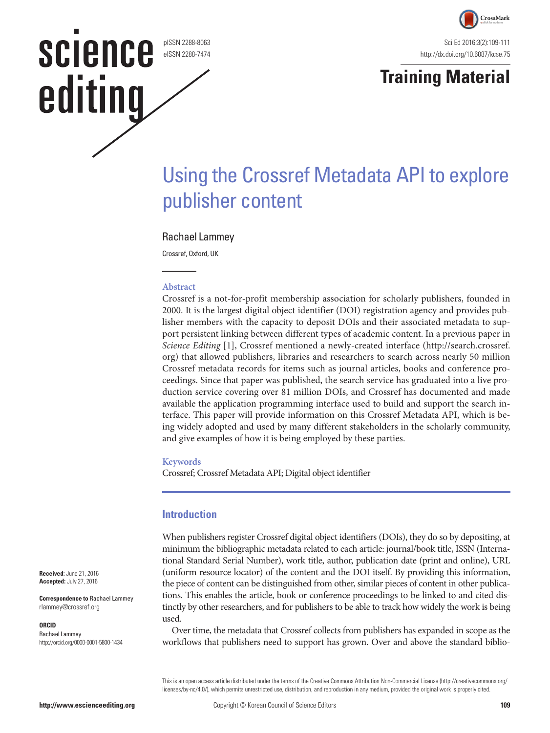pISSN 2288-8063 eISSN 2288-7474

**SCIENCE** 

editing



# **Training Material**

# Using the Crossref Metadata API to explore publisher content

### Rachael Lammey

Crossref, Oxford, UK

#### **Abstract**

Crossref is a not-for-profit membership association for scholarly publishers, founded in 2000. It is the largest digital object identifier (DOI) registration agency and provides publisher members with the capacity to deposit DOIs and their associated metadata to support persistent linking between different types of academic content. In a previous paper in *Science Editing* [1], Crossref mentioned a newly-created interface (http://search.crossref. org) that allowed publishers, libraries and researchers to search across nearly 50 million Crossref metadata records for items such as journal articles, books and conference proceedings. Since that paper was published, the search service has graduated into a live production service covering over 81 million DOIs, and Crossref has documented and made available the application programming interface used to build and support the search interface. This paper will provide information on this Crossref Metadata API, which is being widely adopted and used by many different stakeholders in the scholarly community, and give examples of how it is being employed by these parties.

#### **Keywords**

Crossref; Crossref Metadata API; Digital object identifier

## **Introduction**

When publishers register Crossref digital object identifiers (DOIs), they do so by depositing, at minimum the bibliographic metadata related to each article: journal/book title, ISSN (International Standard Serial Number), work title, author, publication date (print and online), URL (uniform resource locator) of the content and the DOI itself. By providing this information, the piece of content can be distinguished from other, similar pieces of content in other publications. This enables the article, book or conference proceedings to be linked to and cited distinctly by other researchers, and for publishers to be able to track how widely the work is being used.

Over time, the metadata that Crossref collects from publishers has expanded in scope as the workflows that publishers need to support has grown. Over and above the standard biblio-

This is an open access article distributed under the terms of the Creative Commons Attribution Non-Commercial License ([http://creativecommons.org/](http://creativecommons.org/licenses/by-nc/3.0/) [licenses/by-nc/4.0/](http://creativecommons.org/licenses/by-nc/3.0/)), which permits unrestricted use, distribution, and reproduction in any medium, provided the original work is properly cited.

**Received:** June 21, 2016 **Accepted:** July 27, 2016

**Correspondence to** Rachael Lammey rlammey@crossref.org

#### **ORCID**

Rachael Lammey http://orcid.org/0000-0001-5800-1434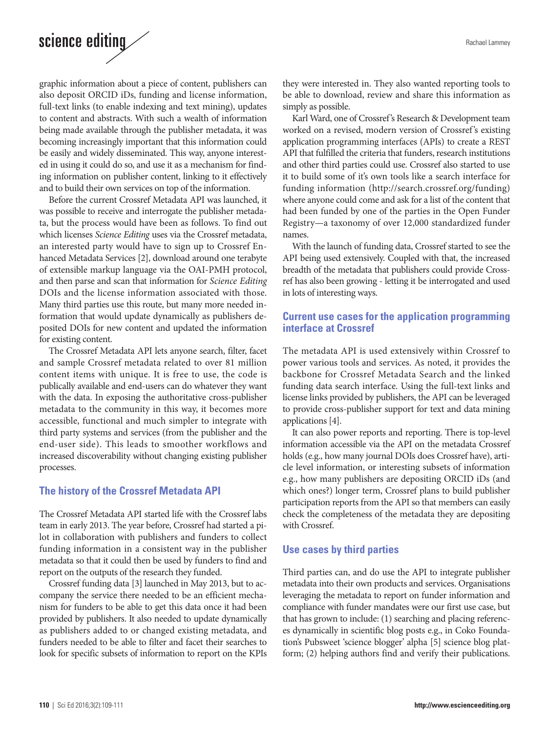# science editing  $\angle$

graphic information about a piece of content, publishers can also deposit ORCID iDs, funding and license information, full-text links (to enable indexing and text mining), updates to content and abstracts. With such a wealth of information being made available through the publisher metadata, it was becoming increasingly important that this information could be easily and widely disseminated. This way, anyone interested in using it could do so, and use it as a mechanism for finding information on publisher content, linking to it effectively and to build their own services on top of the information.

Before the current Crossref Metadata API was launched, it was possible to receive and interrogate the publisher metadata, but the process would have been as follows. To find out which licenses *Science Editing* uses via the Crossref metadata, an interested party would have to sign up to Crossref Enhanced Metadata Services [2], download around one terabyte of extensible markup language via the OAI-PMH protocol, and then parse and scan that information for *Science Editing* DOIs and the license information associated with those. Many third parties use this route, but many more needed information that would update dynamically as publishers deposited DOIs for new content and updated the information for existing content.

The Crossref Metadata API lets anyone search, filter, facet and sample Crossref metadata related to over 81 million content items with unique. It is free to use, the code is publically available and end-users can do whatever they want with the data. In exposing the authoritative cross-publisher metadata to the community in this way, it becomes more accessible, functional and much simpler to integrate with third party systems and services (from the publisher and the end-user side). This leads to smoother workflows and increased discoverability without changing existing publisher processes.

# **The history of the Crossref Metadata API**

The Crossref Metadata API started life with the Crossref labs team in early 2013. The year before, Crossref had started a pilot in collaboration with publishers and funders to collect funding information in a consistent way in the publisher metadata so that it could then be used by funders to find and report on the outputs of the research they funded.

Crossref funding data [3] launched in May 2013, but to accompany the service there needed to be an efficient mechanism for funders to be able to get this data once it had been provided by publishers. It also needed to update dynamically as publishers added to or changed existing metadata, and funders needed to be able to filter and facet their searches to look for specific subsets of information to report on the KPIs they were interested in. They also wanted reporting tools to be able to download, review and share this information as simply as possible.

Karl Ward, one of Crossref's Research & Development team worked on a revised, modern version of Crossref's existing application programming interfaces (APIs) to create a REST API that fulfilled the criteria that funders, research institutions and other third parties could use. Crossref also started to use it to build some of it's own tools like a search interface for funding information (http://search.crossref.org/funding) where anyone could come and ask for a list of the content that had been funded by one of the parties in the Open Funder Registry—a taxonomy of over 12,000 standardized funder names.

With the launch of funding data, Crossref started to see the API being used extensively. Coupled with that, the increased breadth of the metadata that publishers could provide Crossref has also been growing - letting it be interrogated and used in lots of interesting ways.

# **Current use cases for the application programming interface at Crossref**

The metadata API is used extensively within Crossref to power various tools and services. As noted, it provides the backbone for Crossref Metadata Search and the linked funding data search interface. Using the full-text links and license links provided by publishers, the API can be leveraged to provide cross-publisher support for text and data mining applications [4].

It can also power reports and reporting. There is top-level information accessible via the API on the metadata Crossref holds (e.g., how many journal DOIs does Crossref have), article level information, or interesting subsets of information e.g., how many publishers are depositing ORCID iDs (and which ones?) longer term, Crossref plans to build publisher participation reports from the API so that members can easily check the completeness of the metadata they are depositing with Crossref.

# **Use cases by third parties**

Third parties can, and do use the API to integrate publisher metadata into their own products and services. Organisations leveraging the metadata to report on funder information and compliance with funder mandates were our first use case, but that has grown to include: (1) searching and placing references dynamically in scientific blog posts e.g., in Coko Foundation's Pubsweet 'science blogger' alpha [5] science blog platform; (2) helping authors find and verify their publications.